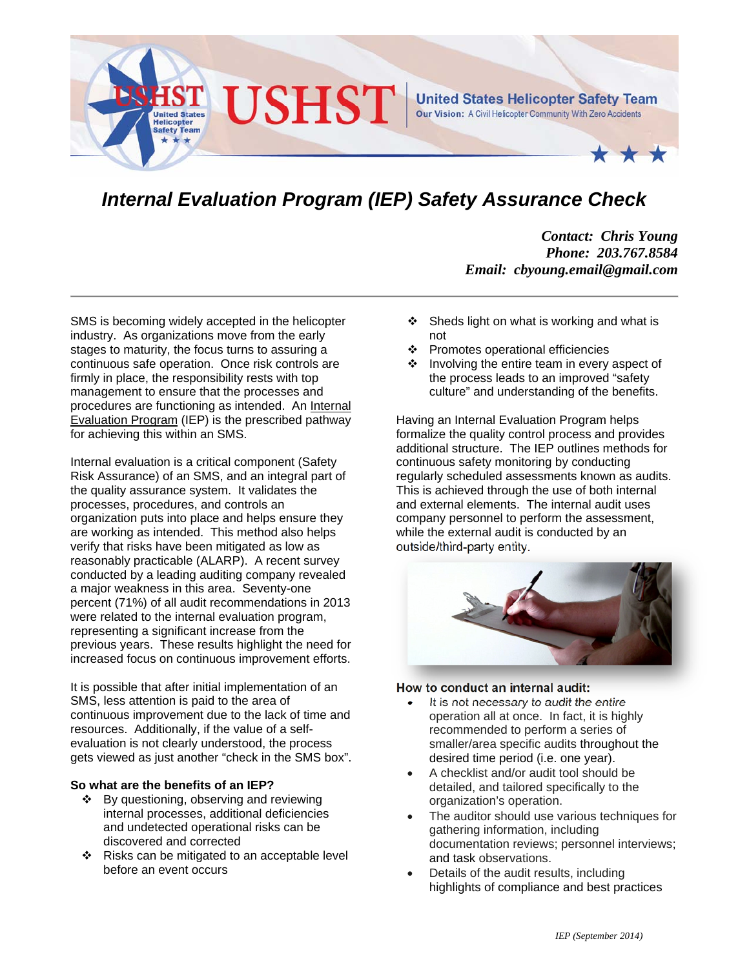

# *Internal Evaluation Program (IEP) Safety Assurance Check*

*Contact: Chris Young Phone: 203.767.8584 Email: cbyoung.email@gmail.com* 

SMS is becoming widely accepted in the helicopter industry. As organizations move from the early stages to maturity, the focus turns to assuring a continuous safe operation. Once risk controls are firmly in place, the responsibility rests with top management to ensure that the processes and procedures are functioning as intended. An Internal Evaluation Program (IEP) is the prescribed pathway for achieving this within an SMS.

Internal evaluation is a critical component (Safety Risk Assurance) of an SMS, and an integral part of the quality assurance system. It validates the processes, procedures, and controls an organization puts into place and helps ensure they are working as intended. This method also helps verify that risks have been mitigated as low as reasonably practicable (ALARP). A recent survey conducted by a leading auditing company revealed a major weakness in this area. Seventy-one percent (71%) of all audit recommendations in 2013 were related to the internal evaluation program, representing a significant increase from the previous years. These results highlight the need for increased focus on continuous improvement efforts.

It is possible that after initial implementation of an SMS, less attention is paid to the area of continuous improvement due to the lack of time and resources. Additionally, if the value of a selfevaluation is not clearly understood, the process gets viewed as just another "check in the SMS box".

### **So what are the benefits of an IEP?**

- ❖ By questioning, observing and reviewing internal processes, additional deficiencies and undetected operational risks can be discovered and corrected
- $\div$  Risks can be mitigated to an acceptable level before an event occurs
- $\div$  Sheds light on what is working and what is not
- ❖ Promotes operational efficiencies
- $\cdot \cdot$  Involving the entire team in every aspect of the process leads to an improved "safety culture" and understanding of the benefits.

Having an Internal Evaluation Program helps formalize the quality control process and provides additional structure. The IEP outlines methods for continuous safety monitoring by conducting regularly scheduled assessments known as audits. This is achieved through the use of both internal and external elements. The internal audit uses company personnel to perform the assessment, while the external audit is conducted by an outside/third-party entity.



#### **How to conduct an internal audit:**

- It is not necessary to audit the entire operation all at once. In fact, it is highly recommended to perform a series of smaller/area specific audits throughout the desired time period (i.e. one year).
- A checklist and/or audit tool should be detailed, and tailored specifically to the organization's operation.
- The auditor should use various techniques for gathering information, including documentation reviews; personnel interviews; and task observations.
- Details of the audit results, including highlights of compliance and best practices